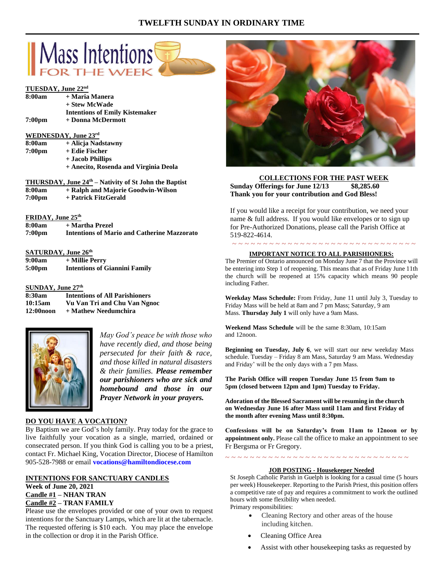# **TWELFTH SUNDAY IN ORDINARY TIME**



#### **TUESDAY, June 22nd**

| 8:00am             | + Maria Manera                        |
|--------------------|---------------------------------------|
|                    | + Stew McWade                         |
|                    | <b>Intentions of Emily Kistemaker</b> |
| 7:00 <sub>pm</sub> | + Donna McDermott                     |
|                    |                                       |

## **WEDNESDAY, June 23rd**

| 8:00am             | + Alicia Nadstawny                    |
|--------------------|---------------------------------------|
| 7:00 <sub>pm</sub> | + Edie Fischer                        |
|                    | + Jacob Phillips                      |
|                    | + Anecito, Rosenda and Virginia Deola |
|                    |                                       |

| <b>THURSDAY, June 24th</b> – Nativity of St John the Baptist |                                    |  |
|--------------------------------------------------------------|------------------------------------|--|
| 0.00cm                                                       | . Delak end Meierie Ceedmin Wilson |  |

- **8:00am + Ralph and Majorie Goodwin-Wilson 7:00pm + Patrick FitzGerald**
- 

## **FRIDAY, June 25th**

| 8:00am             | + Martha Prezel                                    |
|--------------------|----------------------------------------------------|
| 7:00 <sub>pm</sub> | <b>Intentions of Mario and Catherine Mazzorato</b> |

#### **SATURDAY, June 26th**

| 9:00am             | + Millie Perry                       |
|--------------------|--------------------------------------|
| 5:00 <sub>pm</sub> | <b>Intentions of Giannini Family</b> |

#### **SUNDAY, June 27th**

| 8:30am                | <b>Intentions of All Parishioners</b> |
|-----------------------|---------------------------------------|
| 10:15am               | Vu Van Tri and Chu Van Ngnoc          |
| 12:00 <sub>noon</sub> | + Mathew Needumchira                  |



*May God's peace be with those who have recently died, and those being persecuted for their faith & race, and those killed in natural disasters & their families. Please remember our parishioners who are sick and homebound and those in our Prayer Network in your prayers.*

#### **DO YOU HAVE A VOCATION?**

By Baptism we are God's holy family. Pray today for the grace to live faithfully your vocation as a single, married, ordained or consecrated person. If you think God is calling you to be a priest, contact Fr. Michael King, Vocation Director, Diocese of Hamilton 905-528-7988 or email **vocations@hamiltondiocese.com** 

# **INTENTIONS FOR SANCTUARY CANDLES**

**Week of June 20, 2021 Candle #1 – NHAN TRAN Candle #2 – TRAN FAMILY**

Please use the envelopes provided or one of your own to request intentions for the Sanctuary Lamps, which are lit at the tabernacle. The requested offering is \$10 each. You may place the envelope in the collection or drop it in the Parish Office.



## **COLLECTIONS FOR THE PAST WEEK Sunday Offerings for June 12/13 \$8,285.60 Thank you for your contribution and God Bless!**

If you would like a receipt for your contribution, we need your name & full address. If you would like envelopes or to sign up for Pre-Authorized Donations, please call the Parish Office at 519-822-4614.

#### ~ ~ ~ ~ ~ ~ ~ ~ ~ ~ ~ ~ ~ ~ ~ ~ ~ ~ ~ ~ ~ ~ ~ ~ ~ ~ ~ ~ ~ ~ **IMPORTANT NOTICE TO ALL PARISHIONERS:**

The Premier of Ontario announced on Monday June 7 that the Province will be entering into Step 1 of reopening. This means that as of Friday June 11th the church will be reopened at 15% capacity which means 90 people including Father.

**Weekday Mass Schedule:** From Friday, June 11 until July 3, Tuesday to Friday Mass will be held at 8am and 7 pm Mass; Saturday, 9 am Mass. **Thursday July 1** will only have a 9am Mass.

**Weekend Mass Schedule** will be the same 8:30am, 10:15am and 12noon.

**Beginning on Tuesday, July 6**, we will start our new weekday Mass schedule. Tuesday – Friday 8 am Mass, Saturday 9 am Mass. Wednesday and Friday' will be the only days with a 7 pm Mass.

**The Parish Office will reopen Tuesday June 15 from 9am to 5pm (closed between 12pm and 1pm) Tuesday to Friday.**

**Adoration of the Blessed Sacrament will be resuming in the church on Wednesday June 16 after Mass until 11am and first Friday of the month after evening Mass until 8:30pm.**

**Confessions will be on Saturday's from 11am to 12noon or by appointment only.** Please call the office to make an appointment to see Fr Bergsma or Fr Gregory.

~ ~ ~ ~ ~ ~ ~ ~ ~ ~ ~ ~ ~ ~ ~ ~ ~ ~ ~ ~ ~ ~ ~ ~ ~ ~ ~ ~ ~ ~

#### **JOB POSTING - Housekeeper Needed**

St Joseph Catholic Parish in Guelph is looking for a casual time (5 hours per week) Housekeeper. Reporting to the Parish Priest, this position offers a competitive rate of pay and requires a commitment to work the outlined hours with some flexibility when needed. Primary responsibilities:

- Cleaning Rectory and other areas of the house including kitchen.
- Cleaning Office Area
- Assist with other housekeeping tasks as requested by